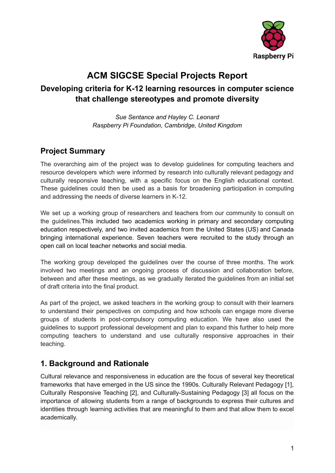

# **ACM SIGCSE Special Projects Report**

# **Developing criteria for K-12 learning resources in computer science that challenge stereotypes and promote diversity**

*Sue Sentance and Hayley C. Leonard Raspberry Pi Foundation, Cambridge, United Kingdom*

# **Project Summary**

The overarching aim of the project was to develop guidelines for computing teachers and resource developers which were informed by research into culturally relevant pedagogy and culturally responsive teaching, with a specific focus on the English educational context. These guidelines could then be used as a basis for broadening participation in computing and addressing the needs of diverse learners in K-12.

We set up a working group of researchers and teachers from our community to consult on the guidelines.This included two academics working in primary and secondary computing education respectively, and two invited academics from the United States (US) and Canada bringing international experience. Seven teachers were recruited to the study through an open call on local teacher networks and social media.

The working group developed the guidelines over the course of three months. The work involved two meetings and an ongoing process of discussion and collaboration before, between and after these meetings, as we gradually iterated the guidelines from an initial set of draft criteria into the final product.

As part of the project, we asked teachers in the working group to consult with their learners to understand their perspectives on computing and how schools can engage more diverse groups of students in post-compulsory computing education. We have also used the guidelines to support professional development and plan to expand this further to help more computing teachers to understand and use culturally responsive approaches in their teaching.

# **1. Background and Rationale**

Cultural relevance and responsiveness in education are the focus of several key theoretical frameworks that have emerged in the US since the 1990s. Culturally Relevant Pedagogy [1], Culturally Responsive Teaching [2], and Culturally-Sustaining Pedagogy [3] all focus on the importance of allowing students from a range of backgrounds to express their cultures and identities through learning activities that are meaningful to them and that allow them to excel academically.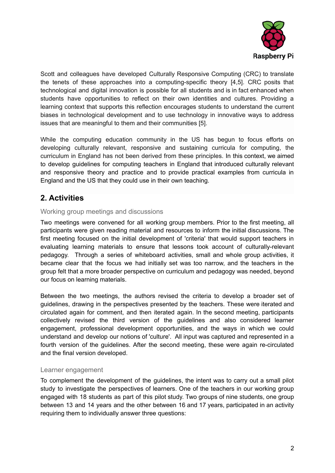

Scott and colleagues have developed Culturally Responsive Computing (CRC) to translate the tenets of these approaches into a computing-specific theory [4,5]. CRC posits that technological and digital innovation is possible for all students and is in fact enhanced when students have opportunities to reflect on their own identities and cultures. Providing a learning context that supports this reflection encourages students to understand the current biases in technological development and to use technology in innovative ways to address issues that are meaningful to them and their communities [5].

While the computing education community in the US has begun to focus efforts on developing culturally relevant, responsive and sustaining curricula for computing, the curriculum in England has not been derived from these principles. In this context, we aimed to develop guidelines for computing teachers in England that introduced culturally relevant and responsive theory and practice and to provide practical examples from curricula in England and the US that they could use in their own teaching.

## **2. Activities**

### Working group meetings and discussions

Two meetings were convened for all working group members. Prior to the first meeting, all participants were given reading material and resources to inform the initial discussions. The first meeting focused on the initial development of 'criteria' that would support teachers in evaluating learning materials to ensure that lessons took account of culturally-relevant pedagogy. Through a series of whiteboard activities, small and whole group activities, it became clear that the focus we had initially set was too narrow, and the teachers in the group felt that a more broader perspective on curriculum and pedagogy was needed, beyond our focus on learning materials.

Between the two meetings, the authors revised the criteria to develop a broader set of guidelines, drawing in the perspectives presented by the teachers. These were iterated and circulated again for comment, and then iterated again. In the second meeting, participants collectively revised the third version of the guidelines and also considered learner engagement, professional development opportunities, and the ways in which we could understand and develop our notions of 'culture'. All input was captured and represented in a fourth version of the guidelines. After the second meeting, these were again re-circulated and the final version developed.

### Learner engagement

To complement the development of the guidelines, the intent was to carry out a small pilot study to investigate the perspectives of learners. One of the teachers in our working group engaged with 18 students as part of this pilot study. Two groups of nine students, one group between 13 and 14 years and the other between 16 and 17 years, participated in an activity requiring them to individually answer three questions: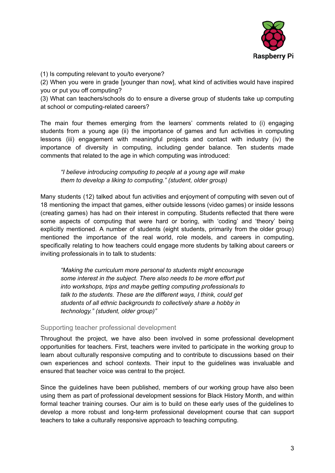

(1) Is computing relevant to you/to everyone?

(2) When you were in grade [younger than now], what kind of activities would have inspired you or put you off computing?

(3) What can teachers/schools do to ensure a diverse group of students take up computing at school or computing-related careers?

The main four themes emerging from the learners' comments related to (i) engaging students from a young age (ii) the importance of games and fun activities in computing lessons (iii) engagement with meaningful projects and contact with industry (iv) the importance of diversity in computing, including gender balance. Ten students made comments that related to the age in which computing was introduced:

*"I believe introducing computing to people at a young age will make them to develop a liking to computing." (student, older group)*

Many students (12) talked about fun activities and enjoyment of computing with seven out of 18 mentioning the impact that games, either outside lessons (video games) or inside lessons (creating games) has had on their interest in computing. Students reflected that there were some aspects of computing that were hard or boring, with 'coding' and 'theory' being explicitly mentioned. A number of students (eight students, primarily from the older group) mentioned the importance of the real world, role models, and careers in computing, specifically relating to how teachers could engage more students by talking about careers or inviting professionals in to talk to students:

*"Making the curriculum more personal to students might encourage some interest in the subject. There also needs to be more effort put into workshops, trips and maybe getting computing professionals to talk to the students. These are the different ways, I think, could get students of all ethnic backgrounds to collectively share a hobby in technology." (student, older group)"*

### Supporting teacher professional development

Throughout the project, we have also been involved in some professional development opportunities for teachers. First, teachers were invited to participate in the working group to learn about culturally responsive computing and to contribute to discussions based on their own experiences and school contexts. Their input to the guidelines was invaluable and ensured that teacher voice was central to the project.

Since the guidelines have been published, members of our working group have also been using them as part of professional development sessions for Black History Month, and within formal teacher training courses. Our aim is to build on these early uses of the guidelines to develop a more robust and long-term professional development course that can support teachers to take a culturally responsive approach to teaching computing.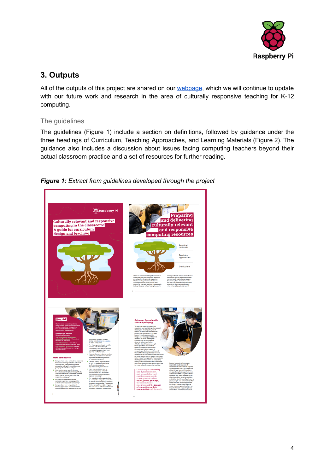

# **3. Outputs**

All of the outputs of this project are shared on our [webpage,](https://www.raspberrypi.org/culturally-responsive-pedagogy-for-computing-education/) which we will continue to update with our future work and research in the area of culturally responsive teaching for K-12 computing.

### The guidelines

The guidelines (Figure 1) include a section on definitions, followed by guidance under the three headings of Curriculum, Teaching Approaches, and Learning Materials (Figure 2). The guidance also includes a discussion about issues facing computing teachers beyond their actual classroom practice and a set of resources for further reading.

*Figure 1: Extract from guidelines developed through the project*